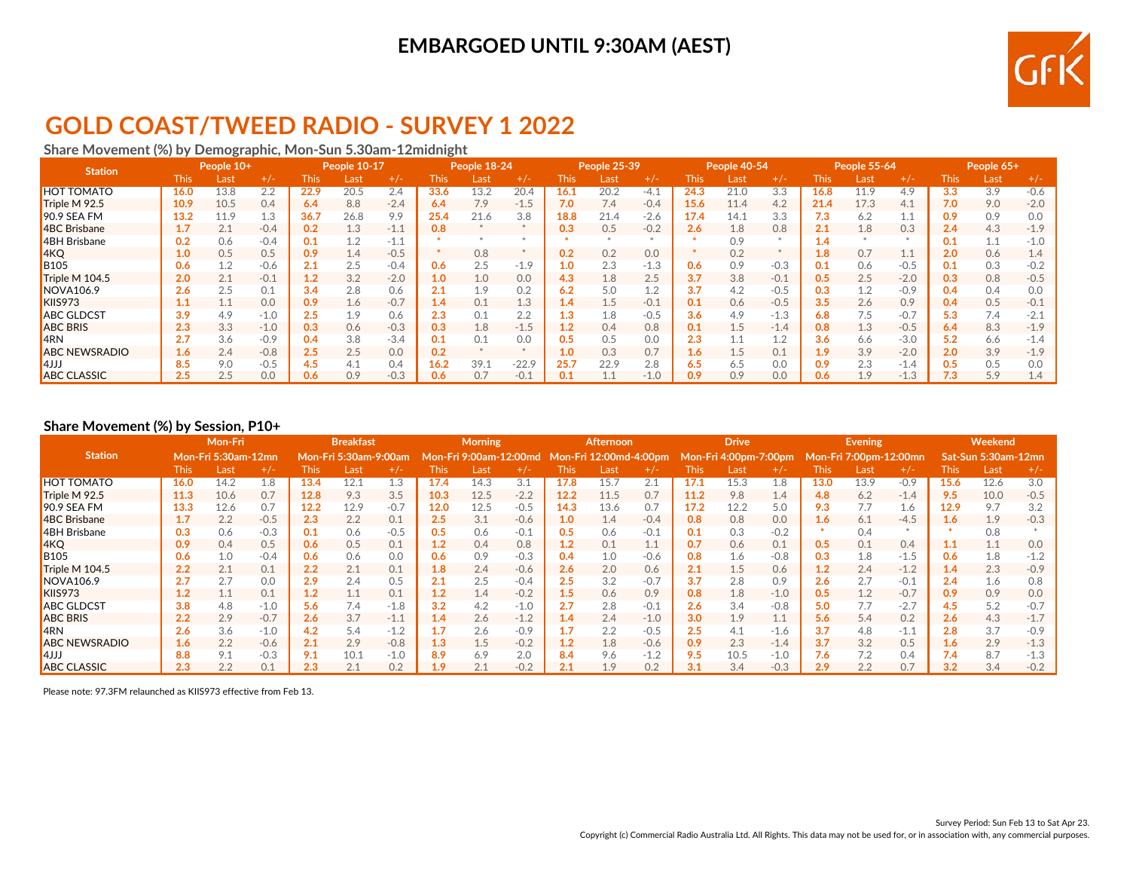## **EMBARGOED UNTIL 9:30AM (AEST)**



## **GOLD COAST/TWEED RADIO - SURVEY 1 2022**

#### **Share Movement (%) by Demographic, Mon-Sun 5.30am-12midnight**

| <b>Station</b>       |             | People 10+ |        | People 10-17 |      | People 18-24 |      |      | People 25-39 |          |      | People 40-54 |             | People 55-64 |        |                  | People 65+ |        |      |      |        |
|----------------------|-------------|------------|--------|--------------|------|--------------|------|------|--------------|----------|------|--------------|-------------|--------------|--------|------------------|------------|--------|------|------|--------|
|                      | <b>This</b> | Last       | $+/-$  | This         | Last | $+/-$        | This | Last | $+/-$        | This     | Last | +/-          | <b>This</b> | Last         | $+/-$  | <b>This</b>      | Last       | $+/-$  | This | Last | $+/-$  |
| <b>HOT TOMATO</b>    | 16.0        | 13.8       | 2.2    | 22.9         | 20.5 | 2.4          | 33.6 | 13.2 | 20.4         | 16.1     | 20.2 | $-4.1$       | 24.3        | 21.0         | 3.3    | 16.8             | 11.9       | 4.9    | 3.3  | 3.9  | $-0.6$ |
| Triple M 92.5        | 10.9        | 10.5       | 0.4    | 6.4          | 8.8  | $-2.4$       | 6.4  | 7.9  | $-1.5$       | 7.0      | 7.4  | $-0.4$       | 15.6        | 11.4         | 4.2    | 21.4             | 17.3       | 4.1    | 7.0  | 9.0  | $-2.0$ |
| 90.9 SEA FM          | 13.2        | 11.9       | 1.3    | 36.7         | 26.8 | 9.9          | 25.4 | 21.6 | 3.8          | 18.8     | 21.4 | $-2.6$       | 17.4        | 14.1         | 3.3    | 7.3              | 6.2        | 1.1    | 0.9  | 0.9  | 0.0    |
| 4BC Brisbane         | 1.7         | 2.1        | $-0.4$ | 0.2          | 1.3  | $-1.1$       | 0.8  |      |              | 0.3      | 0.5  | $-0.2$       | 2.6         | 1.8          | 0.8    | 2.1              | 1.8        | 0.3    | 2.4  | 4.3  | $-1.9$ |
| 4BH Brisbane         | 0.2         | 0.6        | $-0.4$ | 0.1          | 1.2  | $-1.1$       |      |      |              |          |      |              |             | 0.9          |        | 1.4              |            |        | 0.1  | 1.1  | $-1.0$ |
| 4KQ                  | 1.0         | 0.5        | 0.5    | 0.9          | 1.4  | $-0.5$       |      | 0.8  |              | 0.2      | 0.2  | 0.0          |             | 0.2          |        | 1.8              | 0.7        | 1.1    | 2.0  | 0.6  | 1.4    |
| <b>B</b> 105         | 0.6         | 1.2        | $-0.6$ | 2.1          | 2.5  | $-0.4$       | 0.6  | 2.5  | $-1.9$       | и<br>1.0 | 2.3  | $-1.3$       | 0.6         | 0.9          | $-0.3$ | 0.1              | 0.6        | $-0.5$ | 0.1  | 0.3  | $-0.2$ |
| Triple M 104.5       | 2.0         | 2.1        | $-0.1$ | 1.2          | 3.2  | $-2.0$       | 1.0  | 1.0  | 0.0          | 4.3      | 1.8  | 2.5          | 3.7         | 3.8          | $-0.1$ | 0.5              | 2.5        | $-2.0$ | 0.3  | 0.8  | $-0.5$ |
| <b>NOVA106.9</b>     | 2.6         | 2.5        | 0.1    | 3.4          | 2.8  | 0.6          | 2.1  | 1.9  | 0.2          | 6.2      | 5.0  | 1.2          | 3.7         | 4.2          | $-0.5$ | 0.3              | 1.2        | $-0.9$ | 0.4  | 0.4  | 0.0    |
| KIIS973              | 1.1         | T.T        | 0.0    | 0.9          | 1.6  | $-0.7$       | 1.4  | 0.1  | 1.3          | 1.4      | 1.5  | $-0.1$       | 0.1         | 0.6          | $-0.5$ | 3.5              | 2.6        | 0.9    | 0.4  | 0.5  | $-0.1$ |
| <b>ABC GLDCST</b>    | 3.9         | 4.9        | $-1.0$ | 2.5          | 1.9  | 0.6          | 2.3  | 0.1  | 2.2          | 1.3      | 1.8  | $-0.5$       | 3.6         | 4.9          | $-1.3$ | 6.8              | 7.5        | $-0.7$ | 5.3  | 7.4  | $-2.1$ |
| <b>ABC BRIS</b>      | 2.3         | 3.3        | $-1.0$ | 0.3          | 0.6  | $-0.3$       | 0.3  | 1.8  | $-1.5$       | 1.2      | 0.4  | 0.8          | 0.1         | 1.5          | $-1.4$ | 0.8              | 1.3        | $-0.5$ | 6.4  | 8.3  | $-1.9$ |
| <b>IARN</b>          | 2.7         | 3.6        | $-0.9$ | 0.4          | 3.8  | $-3.4$       | 0.1  | 0.1  | 0.0          |          | 0.5  | 0.0          | 2.3         |              | 1.2    | 3.6              | 6.6        | $-3.0$ | 5.2  | 6.6  | $-1.4$ |
| <b>ABC NEWSRADIO</b> | 1.6         | 2.4        | $-0.8$ | 2.5          | 2.5  | 0.0          | 0.2  |      |              | 1.0      | 0.3  | 0.7          | 1.6         | 1.5          | 0.1    | 1.9 <sup>2</sup> | 3.9        | $-2.0$ | 2.0  | 3.9  | $-1.9$ |
| l4JJJ                | 8.5         | 9.0        | $-0.5$ | 4.5          | 4.1  | 0.4          | 16.2 | 39.1 | $-22.9$      | 25.7     | 22.9 | 2.8          | 6.5         | 6.5          | 0.0    | 0.9              | 2.3        | $-1.4$ | 0.5  | 0.5  | 0.0    |
| <b>ABC CLASSIC</b>   | 2.5         | 2.5        | 0.0    | 0.6          | 0.9  | $-0.3$       | 0.6  | 0.7  | $-0.1$       | 0.1      | 1.1  | $-1.0$       | 0.9         | 0.9          | 0.0    | 0.6              | 1.9        | $-1.3$ | 7.3  | 5.9  | 1.4    |

#### **Share Movement (%) by Session, P10+**

|                      | $\cdot$ $\cdot$<br>Mon-Fri |                     |        | <b>Breakfast</b> |                              |        | <b>Morning</b> |                        |        |             | <b>Afternoon</b>       |        | <b>Drive</b> |                       |        |                  | <b>Evening</b>         |        | Weekend          |                     |        |
|----------------------|----------------------------|---------------------|--------|------------------|------------------------------|--------|----------------|------------------------|--------|-------------|------------------------|--------|--------------|-----------------------|--------|------------------|------------------------|--------|------------------|---------------------|--------|
| <b>Station</b>       |                            | Mon-Fri 5:30am-12mn |        |                  | <b>Mon-Fri 5:30am-9:00am</b> |        |                | Mon-Fri 9:00am-12:00md |        |             | Mon-Fri 12:00md-4:00pm |        |              | Mon-Fri 4:00pm-7:00pm |        |                  | Mon-Fri 7:00pm-12:00mn |        |                  | Sat-Sun 5:30am-12mn |        |
|                      | <b>This</b>                | Last                | $+/-$  | This:            | Last                         | $+/-$  | This           | Last                   | $+/-$  | <b>This</b> | Last                   | $+/-$  | This         | Last                  | $+/-$  | <b>This</b>      | Last                   | $+/-$  | Thisl            | Last                | $+/-$  |
| <b>HOT TOMATO</b>    | 16.0                       | 14.2                | 1.8    | 13.4             | 12.1                         | 1.3    | 17.4           | 14.3                   | 3.1    | 17.8        | 15.7                   | 2.1    | 17.1         | 15.3                  | 1.8    | 13.0             | 13.9                   | $-0.9$ | 15.6             | 12.6                | 3.0    |
| Triple M 92.5        | 11.3                       | 10.6                | 0.7    | 12.8             | 9.3                          | 3.5    | 10.3           | 12.5                   | $-2.2$ | 12.2        | 11.5                   | 0.7    | 11.2         | 9.8                   | 1.4    | 4.8              | 6.2                    | $-1.4$ | 9.5              | 10.0                | $-0.5$ |
| 90.9 SEA FM          | 13.3                       | 12.6                | 0.7    | 12.2             | 12.9                         | $-0.7$ | 12.0           | 12.5                   | $-0.5$ | 14.3        | 13.6                   | 0.7    | 17.2         | 12.2                  | 5.0    | 9.3              | 7.7                    | 1.6    | 12.9             | 9.7                 | 3.2    |
| 4BC Brisbane         | 1.7                        | 2.2                 | $-0.5$ | 2.3              | 2.2                          | 0.1    | 2.5            | 3.1                    | $-0.6$ | 1.0         | 1.4                    | $-0.4$ | 0.8          | 0.8                   | 0.0    | 1.6 <sub>1</sub> | 6.1                    | $-4.5$ | 1.6              | 1.9                 | $-0.3$ |
| 4BH Brisbane         | 0.3                        | 0.6                 | $-0.3$ | 0.1              | 0.6                          | $-0.5$ | 0.5            | 0.6                    | $-0.1$ | 0.5         | 0.6                    | $-0.1$ | 0.1          | 0.3                   | $-0.2$ |                  | 0.4                    |        |                  | 0.8                 |        |
| 4KQ                  | 0.9                        | 0.4                 | 0.5    | 0.6              | 0.5                          | 0.1    | 1.2            | 0.4                    | 0.8    | 1.2         | 0.1                    | 1.1    | 0.7          | 0.6                   | 0.1    | 0.5              | 0.1                    | 0.4    | 1.1              | 1.1                 | 0.0    |
| <b>B105</b>          | 0.6                        | 1.0                 | $-0.4$ | 0.6              | 0.6                          | 0.0    | 0.6            | 0.9                    | $-0.3$ | 0.4         | 1.0                    | $-0.6$ | 0.8          | 1.6                   | $-0.8$ | 0.3              | 1.8                    | $-1.5$ | 0.6              | 1.8                 | $-1.2$ |
| Triple M 104.5       | 2.2                        | 2.1                 | 0.1    | 2.2              | 2.1                          | 0.1    | 1.8            | 2.4                    | $-0.6$ | 2.6         | 2.0                    | 0.6    | 2.1          | 1.5                   | 0.6    | 1.2              | 2.4                    | $-1.2$ | 1.4              | 2.3                 | $-0.9$ |
| NOVA106.9            | 2.7                        | 2.7                 | 0.0    | 2.9              | 2.4                          | 0.5    | 2.1            | 2.5                    | $-0.4$ | 2.5         | 3.2                    | $-0.7$ | 3.7          | 2.8                   | 0.9    | 2.6              | 2.7                    | $-0.1$ | 2.4              | 1.6                 | 0.8    |
| KIIS973              | 1.2                        | 1.1                 | 0.1    | 1.2              | 1.1                          | 0.1    | 1.2            | 1.4                    | $-0.2$ | 1.5         | 0.6                    | 0.9    | 0.8          | 1.8                   | $-1.0$ | 0.5              | 1.2                    | $-0.7$ | 0.9              | 0.9                 | 0.0    |
| <b>ABC GLDCST</b>    | 3.8                        | 4.8                 | $-1.0$ | $5.6^{\circ}$    | 7.4                          | $-1.8$ | 3.2            | 4.2                    | $-1.0$ | 2.7         | 2.8                    | $-0.1$ | 2.6          | 3.4                   | $-0.8$ | 5.0              | 7.7                    | $-2.7$ | 4.5              | 5.2                 | $-0.7$ |
| <b>ABC BRIS</b>      | 2.2                        | 2.9                 | $-0.7$ | 2.6              | 3.7                          | $-1.1$ | 1.4            | 2.6                    | $-1.2$ | 1.4         | 2.4                    | $-1.0$ | 3.0          | 1.9                   | 1.1    | 5.6              | 5.4                    | 0.2    | 2.6              | 4.3                 | $-1.7$ |
| 4RN                  | 2.6                        | 3.6                 | $-1.0$ | 4.2              | 5.4                          | $-1.2$ |                | 2.6                    | $-0.9$ |             | 2.2                    | $-0.5$ | 2.5          | 4.1                   | $-1.6$ | 3.7              | 4.8                    | $-1.1$ | 2.8              | 3.7                 | $-0.9$ |
| <b>ABC NEWSRADIO</b> | 1.6                        | 2.2                 | $-0.6$ | 2.1              | 2.9                          | $-0.8$ | 1.3            | 1.5                    | $-0.2$ | 1.2         | 1.8                    | $-0.6$ | 0.9          | 2.3                   | $-1.4$ | 3.7              | 3.2                    | 0.5    | 1.6 <sub>1</sub> | 2.9                 | $-1.3$ |
| LLL4                 | 8.8                        | 9.1                 | $-0.3$ | 9.1              | 10.1                         | $-1.0$ | 8.9            | 6.9                    | 2.0    | 8.4         | 9.6                    | $-1.2$ | 9.5          | 10.5                  | $-1.0$ | 7.6              | 7.2                    | 0.4    | 7.4              | 8.7                 | $-1.3$ |
| <b>ABC CLASSIC</b>   | 2.3                        | 2.2                 | 0.1    | 2.3              |                              | 0.2    | 1.9            | 2.1                    | $-0.2$ | 2.1         | 1.9                    | 0.2    | 3.1          | 3.4                   | $-0.3$ | 2.9              | 2.2                    | 0.7    | 3.2              | 3.4                 | $-0.2$ |

Please note: 97.3FM relaunched as KIIS973 effective from Feb 13.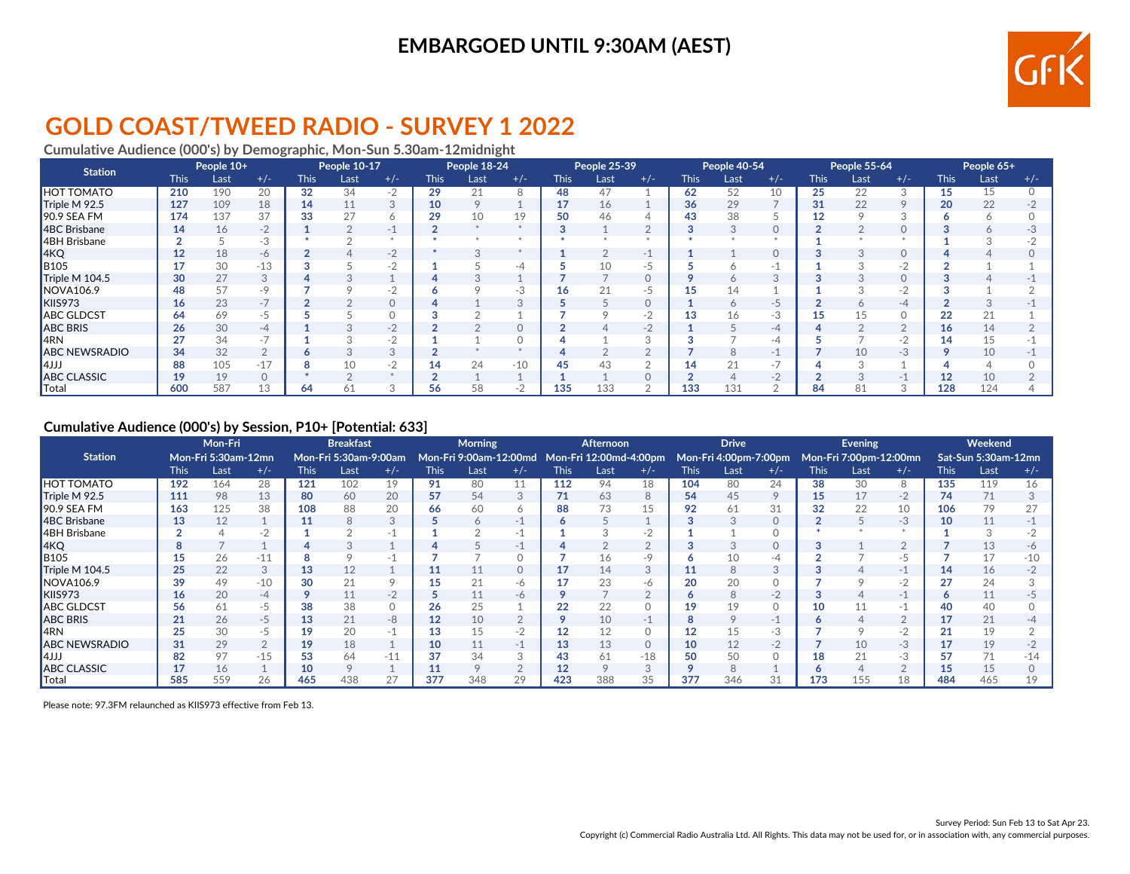### **EMBARGOED UNTIL 9:30AM (AEST)**



# **GOLD COAST/TWEED RADIO - SURVEY 1 2022**

**Cumulative Audience (000's) by Demographic, Mon-Sun 5.30am-12midnight**

| <b>Station</b>       |                 | People 10+ |          | People 10-17 |      |       | People 18-24 |         |       | People 25-39 |      | People 40-54 |             |      | People 55-64             |             |      | People 65+         |             |      |       |
|----------------------|-----------------|------------|----------|--------------|------|-------|--------------|---------|-------|--------------|------|--------------|-------------|------|--------------------------|-------------|------|--------------------|-------------|------|-------|
|                      | <b>This</b>     | Last       | $+/-$    | <b>This</b>  | Last | $+/-$ | <b>This</b>  | Last    | $+/-$ | <b>This</b>  | Last | $+/-$        | <b>This</b> | Last | $+/-$                    | <b>This</b> | Last | $+/-$              | <b>This</b> | Last | $+/-$ |
| <b>HOT TOMATO</b>    | 210             | 190        | 20       | 32           | 34   | $-2$  | 29           | 21      | 8     | 48           | 47   |              | 62          | 52   | 10                       | 25          | 22   | 3                  | 15          | 15   |       |
| Triple M 92.5        | 127             | 109        | 18       | 14           |      | 3     | 10           | $\circ$ |       | 17           | 16   |              | 36          | 29   |                          | 31          | 22   | $\circ$            | 20          | 22   |       |
| 90.9 SEA FM          | 174             | 137        | 37       | 33           |      | Ô     | 29           | 10      | 19    | 50           | 46   |              | 43          | 38   |                          |             |      |                    |             |      |       |
| 4BC Brisbane         | 14              | 16         | $-2$     |              |      | - 1   |              |         |       |              |      |              |             |      | $\Omega$                 |             |      |                    |             |      |       |
| 4BH Brisbane         |                 |            | -3       |              |      |       |              |         |       |              |      |              |             |      |                          |             |      |                    |             |      |       |
| AKQ                  | 12              | 18         | -6       |              |      | $-2$  |              |         |       |              |      |              |             |      | $\circ$                  |             |      | $\circ$            |             |      |       |
| <b>B</b> 105         | 17              | 30         | $-13$    |              |      | $-2$  |              |         |       |              |      |              |             |      | $\overline{\phantom{a}}$ |             |      | $\sqrt{2}$<br>$-7$ |             |      |       |
| Triple M 104.5       | 30              | 27         | 3        |              |      |       |              |         |       |              |      |              |             |      |                          |             |      |                    |             |      |       |
| NOVA106.9            | 48              |            | $-9$     |              |      | -2    |              |         | -3    | 16           |      |              |             |      |                          |             |      | $-2$               |             |      |       |
| KIIS973              | 16 <sup>2</sup> | 23         | $-7$     |              |      |       |              |         |       |              |      |              |             |      | $-5$                     |             |      | -4                 |             |      |       |
| <b>ABC GLDCST</b>    | 64              | 69         | -5       |              |      |       |              |         |       |              |      |              |             |      | $-3$                     |             |      |                    |             | 21   |       |
| <b>ABC BRIS</b>      | 26              | 30         | -4       |              |      | $-2$  |              |         |       |              |      | $\Omega$     |             |      | -4                       |             |      |                    | 16          | 14   |       |
| ARN                  | 27              | 34         | $-7$     |              |      | $-2$  |              |         |       |              |      |              |             |      | -4                       |             |      | $-2$               | 14          |      |       |
| <b>ABC NEWSRADIO</b> | 34              | 32         | $\Omega$ |              |      | 3     |              |         |       |              |      |              |             |      | ÷                        |             | 10   | $-3$               |             | 10   |       |
| l4JJJ                | 88              | 105        | $-17$    |              | 10   | $-2$  | 14           | 24      | $-10$ | 45           | 43   |              | 14          |      | $\sim$                   |             |      |                    |             |      |       |
| <b>ABC CLASSIC</b>   | 19              | 19         | $\Omega$ |              |      |       |              |         |       |              |      |              |             |      | $-2$                     |             |      |                    |             | 10   |       |
| Total                | 600             | 587        | 13       | 64           | 61   |       | 56           | 58      |       | 135          | 133  |              | 133         | 131  |                          | 84          | 81   |                    | 128         | 124  |       |

#### **Cumulative Audience (000's) by Session, P10+ [Potential: 633]**

|                        | Mon-Fri     |                            |               | <b>Breakfast</b> |                       |       |             | <b>Morning</b> |                          | <b>Afternoon</b> |                                                                     |       | <b>Drive</b> |      |                |             | Evening                |       | Weekend     |                     |       |
|------------------------|-------------|----------------------------|---------------|------------------|-----------------------|-------|-------------|----------------|--------------------------|------------------|---------------------------------------------------------------------|-------|--------------|------|----------------|-------------|------------------------|-------|-------------|---------------------|-------|
| <b>Station</b>         |             |                            |               |                  |                       |       |             |                |                          |                  |                                                                     |       |              |      |                |             |                        |       |             |                     |       |
|                        |             | <b>Mon-Fri 5:30am-12mn</b> |               |                  | Mon-Fri 5:30am-9:00am |       |             |                |                          |                  | Mon-Fri 9:00am-12:00md Mon-Fri 12:00md-4:00pm Mon-Fri 4:00pm-7:00pm |       |              |      |                |             | Mon-Fri 7:00pm-12:00mn |       |             | Sat-Sun 5:30am-12mn |       |
|                        | <b>This</b> | Last                       | $+/-$         | <b>This</b>      | Last                  | $+/-$ | <b>This</b> | Last           | $+/-$                    | <b>This</b>      | Last                                                                | $+/-$ | <b>This</b>  | Last | $+/-$          | <b>This</b> | Last                   | $+/-$ | <b>This</b> | Last                | $+/-$ |
| <b>HOT TOMATO</b>      | 192         | 164                        | 28            | 121              | 102                   | 19    | 91          | 80             | 11                       | 112              | 94                                                                  | 18    | 104          | 80   | 24             | 38          | 30                     | 8     | 135         | 119                 |       |
| Triple M 92.5          | 111         | 98                         | 13            | 80               | 60                    | 20    | 57          | 54             | 3                        | 71               | 63                                                                  |       | 54           | 45   | 9              | 15          | 17                     | $-2$  | 74          | 71                  |       |
| 90.9 SEA FM            | 163         | 125                        | 38            | 108              | 88                    | 20    | 66          | 60             |                          | 88               | 73                                                                  |       | 92           | 61   | 31             | 32          | 22                     | 10    | 106         | 79                  |       |
| 4BC Brisbane           | 13          | 12                         |               | 11               | 8                     | 3     |             | 6              | -l                       | Ô                |                                                                     |       |              |      | $\circ$        |             |                        | $-3$  | 10          | 11                  |       |
| 4BH Brisbane           |             |                            | $-2$          |                  |                       |       |             |                |                          |                  |                                                                     |       |              |      | 0              |             |                        |       |             |                     |       |
| 4KQ                    |             |                            |               |                  |                       |       |             |                | $\overline{\phantom{a}}$ |                  |                                                                     |       |              |      | $\circ$        |             |                        |       |             |                     |       |
| <b>B</b> 105           |             | 26                         | $-11$         |                  |                       |       |             |                |                          |                  | 16                                                                  |       |              |      | -4             |             |                        |       |             |                     |       |
| $\vert$ Triple M 104.5 | 25          | 22                         | 3             | 13               | 12                    |       | ⊥⊥          | 11             |                          | 17               | 14                                                                  |       | 11           |      | $\Omega$<br>J. |             |                        | -1    | 14          | 16                  |       |
| NOVA106.9              | 39          | 49                         | $-10$         | 30               | 21                    |       | 15          | 21             | -6                       | 17               | 23                                                                  | -6    | 20           | 20   | $\Omega$       |             |                        | -2    |             | 24                  |       |
| KIIS973                | 16          | 20                         | $-4$          |                  | 11                    | $-2$  |             | 11             | -6                       |                  |                                                                     |       |              |      | $-2$           |             |                        | $-1$  |             | 11                  |       |
| <b>ABC GLDCST</b>      | 56          | 61                         | $-5$          | 38               | 38                    |       | 26          | 25             |                          | 22               | 22                                                                  |       | 19           |      | 0              | 10          |                        | нL    | 40          | 40                  |       |
| <b>ABC BRIS</b>        | 21          | 26                         | $-5$          | 13               | 21                    | -8    | 12          | 10             |                          | Q                | 10                                                                  | $-1$  |              |      | $-1$           |             |                        |       |             | 21                  |       |
| 4RN                    | 25          | 30                         | $-5$          |                  | 20                    | $-1$  | 13          | 15             | $-2$                     | 12               | 12                                                                  |       |              |      | $-3$           |             |                        | $-2$  |             | 19                  |       |
| <b>ABC NEWSRADIO</b>   | 31          | 29                         | $\Omega$<br>∠ | 19               | 18                    |       | 10          | 11             |                          | 13               | 13                                                                  |       | 10           |      | $-2$           |             | 10                     | $-3$  |             | 19                  |       |
| 4JJJ                   | 82          | 97                         | $-15$         | 53               | 64                    | $-11$ |             | 34             |                          | 43               | 61                                                                  | $-18$ |              | 50   | $\circ$        |             | 21                     | -3    |             | 71                  |       |
| <b>ABC CLASSIC</b>     | 17          | 16                         |               | 10               |                       |       | ⊥⊥          |                |                          | 12               |                                                                     |       |              |      |                |             |                        |       | 15          | 15                  |       |
| Total                  | 585         | 559                        |               | 465              |                       |       | 37.         | 348            |                          | 423              | 388                                                                 |       | 377          | 346  | 31             | 173         | 155                    |       |             | 465                 |       |

Please note: 97.3FM relaunched as KIIS973 effective from Feb 13.